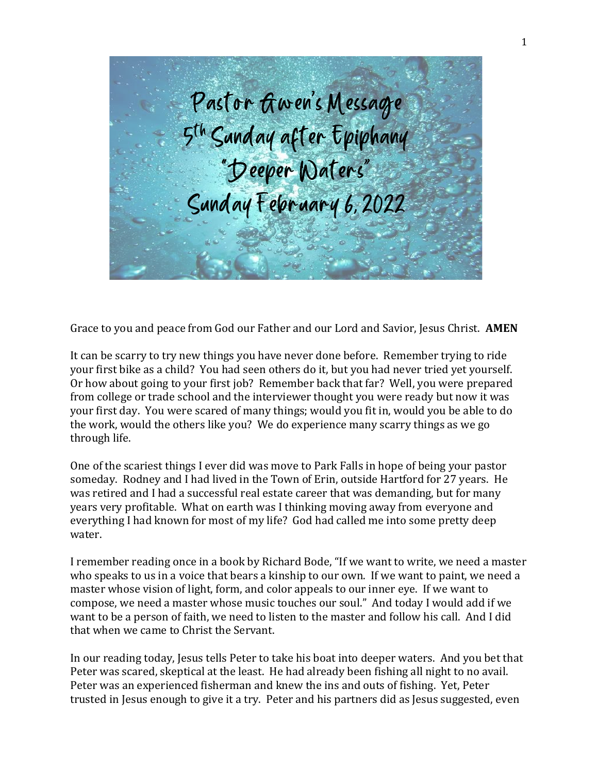

Grace to you and peace from God our Father and our Lord and Savior, Jesus Christ. **AMEN**

It can be scarry to try new things you have never done before. Remember trying to ride your first bike as a child? You had seen others do it, but you had never tried yet yourself. Or how about going to your first job? Remember back that far? Well, you were prepared from college or trade school and the interviewer thought you were ready but now it was your first day. You were scared of many things; would you fit in, would you be able to do the work, would the others like you? We do experience many scarry things as we go through life.

One of the scariest things I ever did was move to Park Falls in hope of being your pastor someday. Rodney and I had lived in the Town of Erin, outside Hartford for 27 years. He was retired and I had a successful real estate career that was demanding, but for many years very profitable. What on earth was I thinking moving away from everyone and everything I had known for most of my life? God had called me into some pretty deep water.

I remember reading once in a book by Richard Bode, "If we want to write, we need a master who speaks to us in a voice that bears a kinship to our own. If we want to paint, we need a master whose vision of light, form, and color appeals to our inner eye. If we want to compose, we need a master whose music touches our soul." And today I would add if we want to be a person of faith, we need to listen to the master and follow his call. And I did that when we came to Christ the Servant.

In our reading today, Jesus tells Peter to take his boat into deeper waters. And you bet that Peter was scared, skeptical at the least. He had already been fishing all night to no avail. Peter was an experienced fisherman and knew the ins and outs of fishing. Yet, Peter trusted in Jesus enough to give it a try. Peter and his partners did as Jesus suggested, even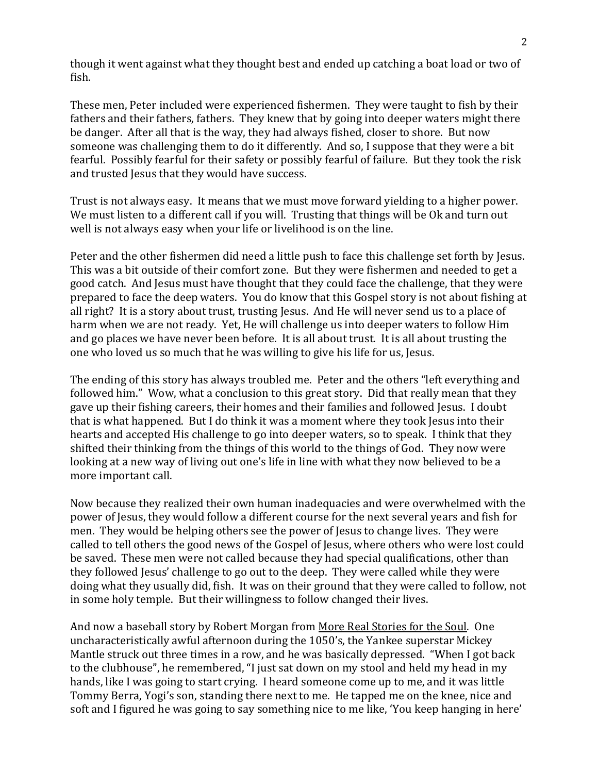though it went against what they thought best and ended up catching a boat load or two of fish.

These men, Peter included were experienced fishermen. They were taught to fish by their fathers and their fathers, fathers. They knew that by going into deeper waters might there be danger. After all that is the way, they had always fished, closer to shore. But now someone was challenging them to do it differently. And so, I suppose that they were a bit fearful. Possibly fearful for their safety or possibly fearful of failure. But they took the risk and trusted Jesus that they would have success.

Trust is not always easy. It means that we must move forward yielding to a higher power. We must listen to a different call if you will. Trusting that things will be Ok and turn out well is not always easy when your life or livelihood is on the line.

Peter and the other fishermen did need a little push to face this challenge set forth by Jesus. This was a bit outside of their comfort zone. But they were fishermen and needed to get a good catch. And Jesus must have thought that they could face the challenge, that they were prepared to face the deep waters. You do know that this Gospel story is not about fishing at all right? It is a story about trust, trusting Jesus. And He will never send us to a place of harm when we are not ready. Yet, He will challenge us into deeper waters to follow Him and go places we have never been before. It is all about trust. It is all about trusting the one who loved us so much that he was willing to give his life for us, Jesus.

The ending of this story has always troubled me. Peter and the others "left everything and followed him." Wow, what a conclusion to this great story. Did that really mean that they gave up their fishing careers, their homes and their families and followed Jesus. I doubt that is what happened. But I do think it was a moment where they took Jesus into their hearts and accepted His challenge to go into deeper waters, so to speak. I think that they shifted their thinking from the things of this world to the things of God. They now were looking at a new way of living out one's life in line with what they now believed to be a more important call.

Now because they realized their own human inadequacies and were overwhelmed with the power of Jesus, they would follow a different course for the next several years and fish for men. They would be helping others see the power of Jesus to change lives. They were called to tell others the good news of the Gospel of Jesus, where others who were lost could be saved. These men were not called because they had special qualifications, other than they followed Jesus' challenge to go out to the deep. They were called while they were doing what they usually did, fish. It was on their ground that they were called to follow, not in some holy temple. But their willingness to follow changed their lives.

And now a baseball story by Robert Morgan from More Real Stories for the Soul. One uncharacteristically awful afternoon during the 1050's, the Yankee superstar Mickey Mantle struck out three times in a row, and he was basically depressed. "When I got back to the clubhouse", he remembered, "I just sat down on my stool and held my head in my hands, like I was going to start crying. I heard someone come up to me, and it was little Tommy Berra, Yogi's son, standing there next to me. He tapped me on the knee, nice and soft and I figured he was going to say something nice to me like, 'You keep hanging in here'